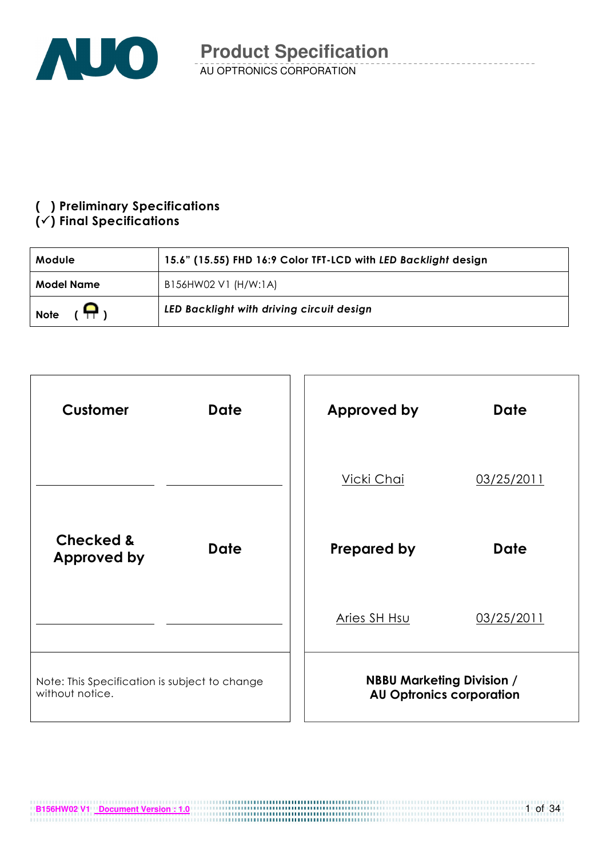

## (!) Preliminary Specifications

## $(\checkmark)$  Final Specifications

| <b>Module</b>                 | 15.6" (15.55) FHD 16:9 Color TFT-LCD with LED Backlight design |
|-------------------------------|----------------------------------------------------------------|
| Model Name                    | B156HW02 V1 (H/W:1A)                                           |
| $(\mathsf{H})$<br><b>Note</b> | LED Backlight with driving circuit design                      |



**B156HW02 V1 Document Version : 1.0 CONSUMING THE CONSUMING WAS SERVED TO A 2011** 

1 of 34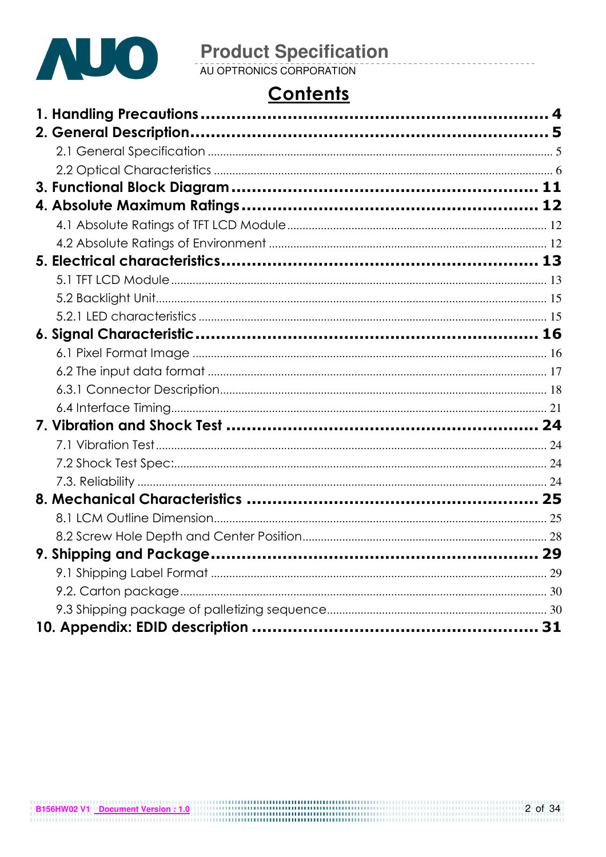

# **Product Specification**<br>AU OPTRONICS CORPORATION

## **Contents**

| $\sim$ |    |
|--------|----|
|        |    |
|        |    |
|        |    |
|        |    |
|        |    |
|        |    |
|        |    |
|        |    |
|        |    |
|        |    |
|        |    |
|        |    |
|        |    |
|        |    |
|        |    |
|        |    |
|        |    |
|        |    |
|        |    |
|        |    |
|        |    |
|        |    |
|        |    |
|        | 29 |
|        |    |
|        |    |
|        |    |
|        |    |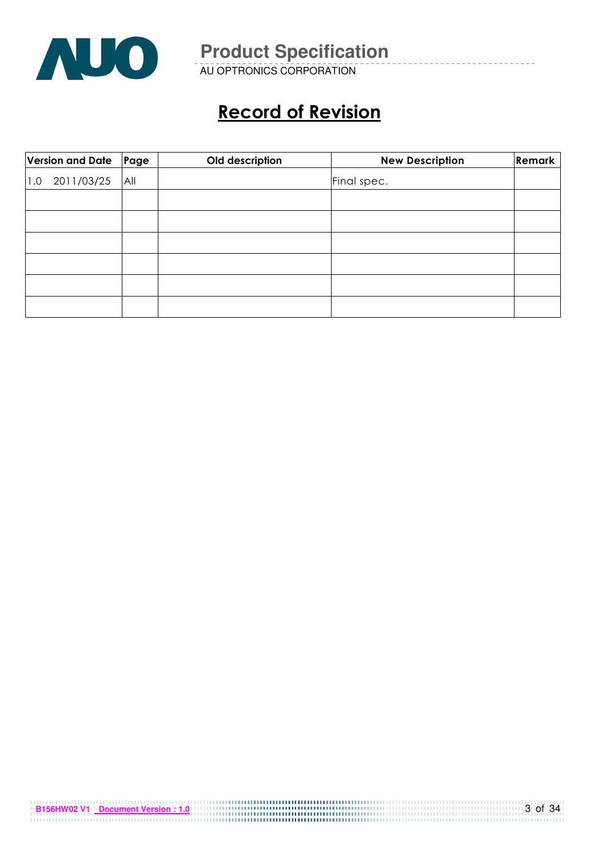

AU OPTRONICS CORPORATION

## Record of Revision

| Version and Date Page |     | Old description | <b>New Description</b> | Remark |
|-----------------------|-----|-----------------|------------------------|--------|
| 2011/03/25<br>1.0     | All |                 | Final spec.            |        |
|                       |     |                 |                        |        |
|                       |     |                 |                        |        |
|                       |     |                 |                        |        |
|                       |     |                 |                        |        |
|                       |     |                 |                        |        |
|                       |     |                 |                        |        |

| B156HW02 V1 Document Version : 1.0 | 3 of 34 |
|------------------------------------|---------|
|                                    |         |
|                                    |         |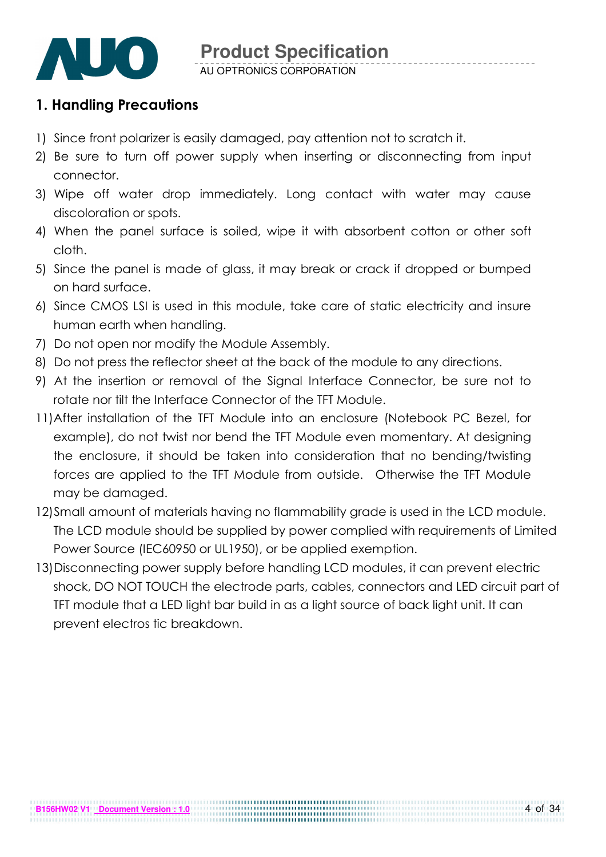

## 1. Handling Precautions

- 1) Since front polarizer is easily damaged, pay attention not to scratch it.
- 2) Be sure to turn off power supply when inserting or disconnecting from input connector.
- 3) Wipe off water drop immediately. Long contact with water may cause discoloration or spots.
- 4) When the panel surface is soiled, wipe it with absorbent cotton or other soft cloth.
- 5) Since the panel is made of glass, it may break or crack if dropped or bumped on hard surface.
- 6) Since CMOS LSI is used in this module, take care of static electricity and insure human earth when handling.
- 7) Do not open nor modify the Module Assembly.
- 8) Do not press the reflector sheet at the back of the module to any directions.
- 9) At the insertion or removal of the Signal Interface Connector, be sure not to rotate nor tilt the Interface Connector of the TFT Module.
- 11) After installation of the TFT Module into an enclosure (Notebook PC Bezel, for example), do not twist nor bend the TFT Module even momentary. At designing the enclosure, it should be taken into consideration that no bending/twisting forces are applied to the TFT Module from outside. Otherwise the TFT Module may be damaged.
- 12)Small amount of materials having no flammability grade is used in the LCD module. The LCD module should be supplied by power complied with requirements of Limited Power Source (IEC60950 or UL1950), or be applied exemption.
- 13)Disconnecting power supply before handling LCD modules, it can prevent electric shock, DO NOT TOUCH the electrode parts, cables, connectors and LED circuit part of TFT module that a LED light bar build in as a light source of back light unit. It can prevent electros tic breakdown.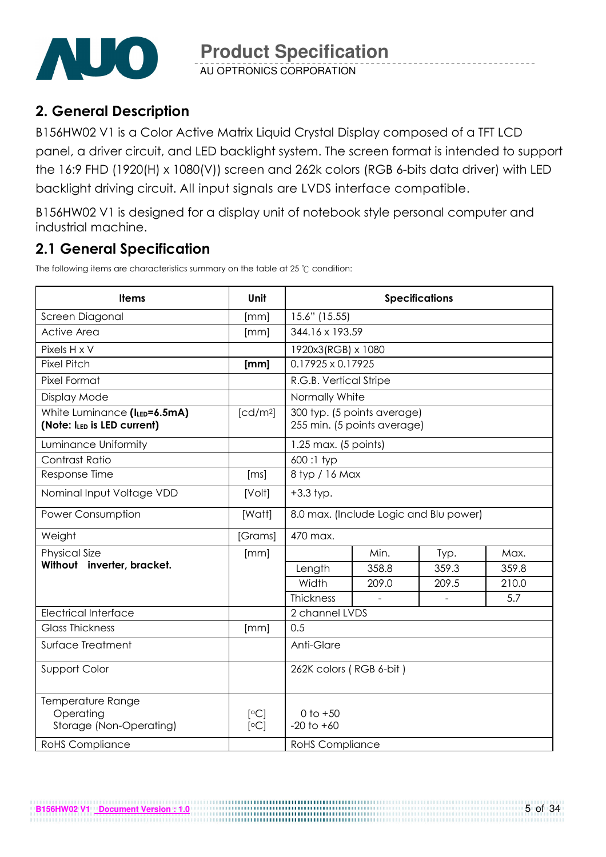

AU OPTRONICS CORPORATION

## 2. General Description

B156HW02 V1 is a Color Active Matrix Liquid Crystal Display composed of a TFT LCD panel, a driver circuit, and LED backlight system. The screen format is intended to support the 16:9 FHD (1920(H) x 1080(V)) screen and 262k colors (RGB 6-bits data driver) with LED backlight driving circuit. All input signals are LVDS interface compatible.

B156HW02 V1 is designed for a display unit of notebook style personal computer and industrial machine.

## 2.1 General Specification

The following items are characteristics summary on the table at 25  $\degree$ C condition:

**B156HW02 V1 Document Version : 1.0**

| <b>Items</b>                                                | <b>Unit</b>          | <b>Specifications</b>                                      |       |       |       |  |
|-------------------------------------------------------------|----------------------|------------------------------------------------------------|-------|-------|-------|--|
| Screen Diagonal                                             | [mm]                 | 15.6" (15.55)                                              |       |       |       |  |
| <b>Active Area</b>                                          | [mm]                 | 344.16 x 193.59                                            |       |       |       |  |
| Pixels H x V                                                |                      | 1920x3(RGB) x 1080                                         |       |       |       |  |
| <b>Pixel Pitch</b>                                          | [mm]                 | $0.17925 \times 0.17925$                                   |       |       |       |  |
| Pixel Format                                                |                      | R.G.B. Vertical Stripe                                     |       |       |       |  |
| Display Mode                                                |                      | Normally White                                             |       |       |       |  |
| White Luminance (ILED=6.5mA)<br>(Note: ILED is LED current) | [cd/m <sup>2</sup> ] | 300 typ. (5 points average)<br>255 min. (5 points average) |       |       |       |  |
| Luminance Uniformity                                        |                      | $1.25$ max. (5 points)                                     |       |       |       |  |
| Contrast Ratio                                              |                      | 600:1 typ                                                  |       |       |       |  |
| Response Time                                               | [ms]                 | 8 typ / 16 Max                                             |       |       |       |  |
| Nominal Input Voltage VDD                                   | [Volt]               | $+3.3$ typ.                                                |       |       |       |  |
| <b>Power Consumption</b>                                    | [Watt]               | 8.0 max. (Include Logic and Blu power)                     |       |       |       |  |
| Weight                                                      | [Grams]              | 470 max.                                                   |       |       |       |  |
| <b>Physical Size</b>                                        | [mm]                 |                                                            | Min.  | Typ.  | Max.  |  |
| Without inverter, bracket.                                  |                      | Length                                                     | 358.8 | 359.3 | 359.8 |  |
|                                                             |                      | Width                                                      | 209.0 | 209.5 | 210.0 |  |
|                                                             |                      | Thickness                                                  |       |       | 5.7   |  |
| <b>Electrical Interface</b>                                 |                      | 2 channel LVDS                                             |       |       |       |  |
| <b>Glass Thickness</b>                                      | [mm]                 | 0.5                                                        |       |       |       |  |
| Surface Treatment                                           |                      | Anti-Glare                                                 |       |       |       |  |
| Support Color                                               |                      | 262K colors (RGB 6-bit)                                    |       |       |       |  |
| Temperature Range<br>Operating<br>Storage (Non-Operating)   | [°C]<br>[°C]         | $0$ to $+50$<br>$-20$ to $+60$                             |       |       |       |  |
| <b>RoHS</b> Compliance                                      |                      | <b>RoHS</b> Compliance                                     |       |       |       |  |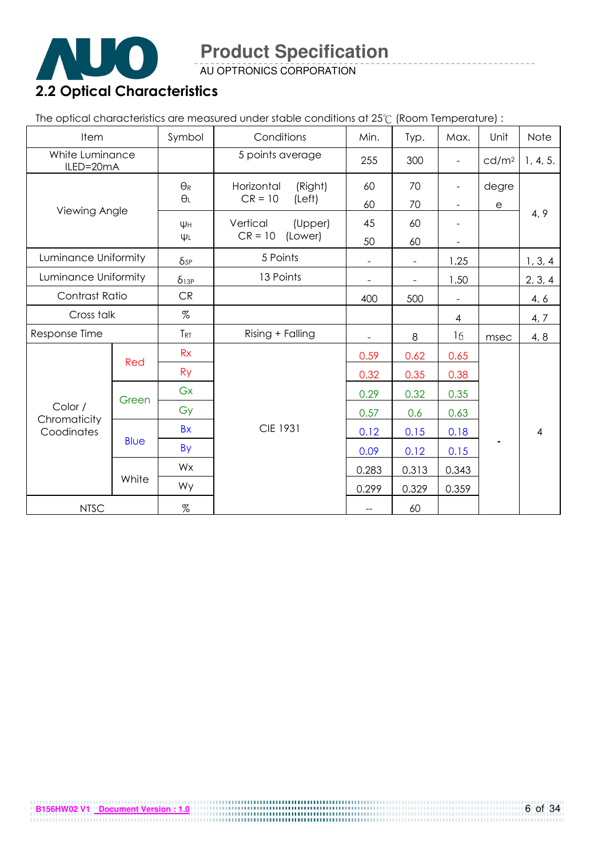

AU OPTRONICS CORPORATION

## 2.2 Optical Characteristics

The optical characteristics are measured under stable conditions at 25°C (Room Temperature) :

| Item                         |             | Symbol                     | Conditions            | Min.                     | Typ.                     | Max.                     | Unit                 | Note           |
|------------------------------|-------------|----------------------------|-----------------------|--------------------------|--------------------------|--------------------------|----------------------|----------------|
| White Luminance<br>ILED=20mA |             |                            | 5 points average      | 255                      | 300                      | $\blacksquare$           | cd/m <sup>2</sup>    | 1, 4, 5.       |
|                              |             | $\Theta_{\mathsf{R}}$      | Horizontal<br>(Right) | 60                       | 70                       | $\overline{\phantom{a}}$ | degre                |                |
| Viewing Angle                |             | $\Theta_L$                 | $CR = 10$<br>(Left)   | 60                       | 70                       | $\overline{\phantom{a}}$ | $\boldsymbol{\rm e}$ |                |
|                              |             | Ψн                         | Vertical<br>(Upper)   | 45                       | 60                       |                          |                      | 4, 9           |
|                              |             | $\Psi L$                   | $CR = 10$<br>(Lower)  | 50                       | 60                       |                          |                      |                |
| Luminance Uniformity         |             | $\delta_{5P}$              | 5 Points              |                          | $\overline{\phantom{a}}$ | 1.25                     |                      | 1, 3, 4        |
| Luminance Uniformity         |             | $\delta_{1\underline{3P}}$ | 13 Points             | $\sim$                   | $\blacksquare$           | 1.50                     |                      | 2, 3, 4        |
| Contrast Ratio               |             | CR                         |                       | 400                      | 500                      |                          |                      | 4, 6           |
| Cross talk                   |             | %                          |                       |                          |                          | 4                        |                      | 4, 7           |
| Response Time                |             | TRT                        | Rising + Falling      | $\blacksquare$           | 8                        | 16                       | msec                 | 4, 8           |
|                              |             | Rx                         |                       | 0.59                     | 0.62                     | 0.65                     |                      |                |
|                              | Red         | <b>Ry</b>                  |                       | 0.32                     | 0.35                     | 0.38                     |                      |                |
|                              |             | Gx                         |                       | 0.29                     | 0.32                     | 0.35                     |                      |                |
| Color /                      | Green       | Gy                         |                       | 0.57                     | 0.6                      | 0.63                     |                      |                |
| Chromaticity<br>Coodinates   |             | <b>Bx</b>                  | <b>CIE 1931</b>       | 0.12                     | 0.15                     | 0.18                     |                      | $\overline{4}$ |
|                              | <b>Blue</b> | <b>By</b>                  |                       | 0.09                     | 0.12                     | 0.15                     |                      |                |
|                              |             | Wx                         |                       | 0.283                    | 0.313                    | 0.343                    |                      |                |
|                              | White       | Wy                         |                       | 0.299                    | 0.329                    | 0.359                    |                      |                |
| <b>NTSC</b>                  |             | $\%$                       |                       | $\overline{\phantom{m}}$ | 60                       |                          |                      |                |

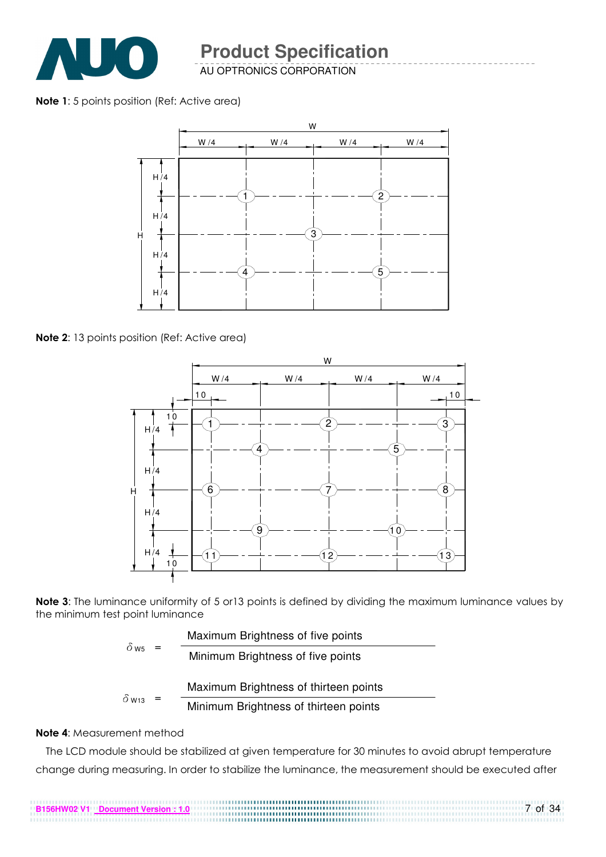

AU OPTRONICS CORPORATION

#### Note 1: 5 points position (Ref: Active area)



Note 2: 13 points position (Ref: Active area)



Note 3: The luminance uniformity of 5 or 13 points is defined by dividing the maximum luminance values by the minimum test point luminance

|                          |     | Maximum Brightness of five points     |
|--------------------------|-----|---------------------------------------|
| $\delta$ w <sub>5</sub>  | $=$ | Minimum Brightness of five points     |
|                          |     | Maximum Brightness of thirteen points |
| $\delta$ W <sub>13</sub> | $=$ | Minimum Brightness of thirteen points |

#### Note 4: Measurement method

The LCD module should be stabilized at given temperature for 30 minutes to avoid abrupt temperature change during measuring. In order to stabilize the luminance, the measurement should be executed after

7 of 34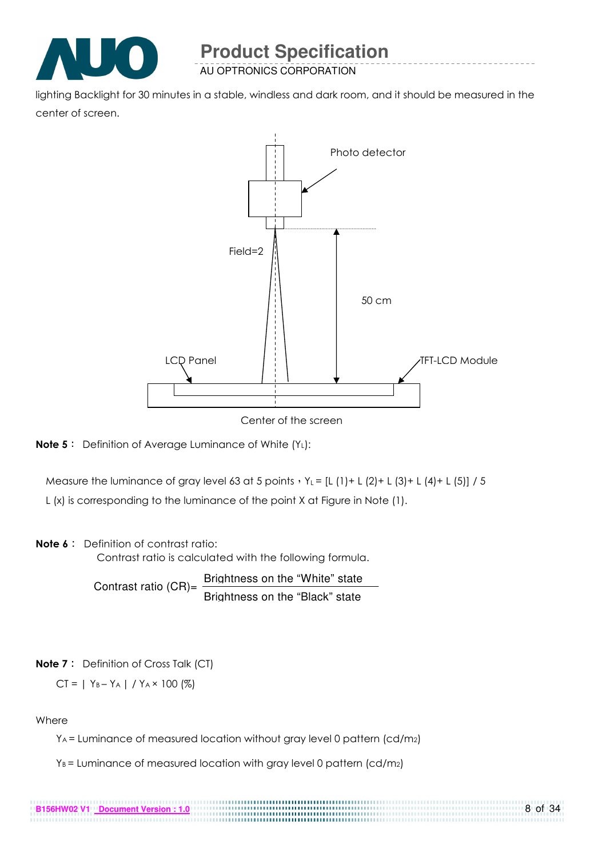

AU OPTRONICS CORPORATION

lighting Backlight for 30 minutes in a stable, windless and dark room, and it should be measured in the center of screen.



Center of the screen



Measure the luminance of gray level 63 at 5 points  $Y_L = [L (1) + L (2) + L (3) + L (4) + L (5)] / 5$ 

L (x) is corresponding to the luminance of the point X at Figure in Note (1).

#### Note 6: Definition of contrast ratio:

Contrast ratio is calculated with the following formula.

Contrast ratio  $(CR)$ = Brightness on the "White" state Brightness on the "Black" state

#### **Note 7**: Definition of Cross Talk (CT)

$$
CT = | Y_B - Y_A | / Y_A \times 100 (%)
$$

**B156HW02 V1 Document Version : 1.0**

#### Where

YA = Luminance of measured location without gray level 0 pattern (cd/m2)

..............

 $Y_B$  = Luminance of measured location with gray level 0 pattern (cd/m<sub>2</sub>)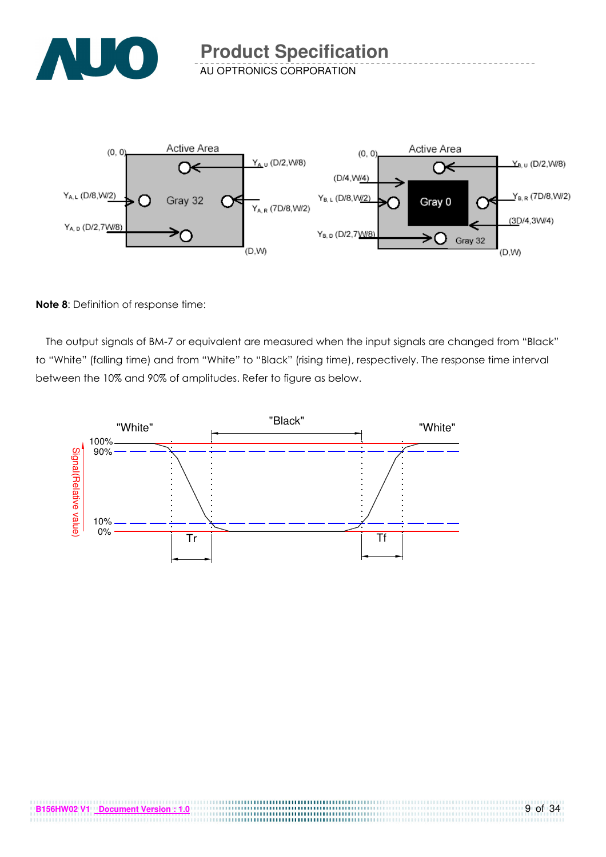

AU OPTRONICS CORPORATION



#### Note 8: Definition of response time:

The output signals of BM-7 or equivalent are measured when the input signals are changed from "Black" to "White" (falling time) and from "White" to "Black" (rising time), respectively. The response time interval between the 10% and 90% of amplitudes. Refer to figure as below.

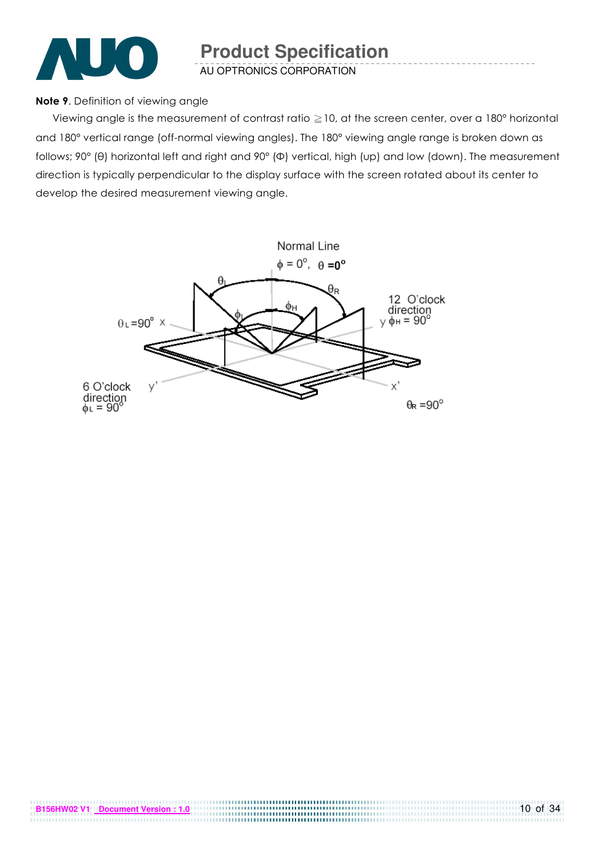

AU OPTRONICS CORPORATION

#### Note 9. Definition of viewing angle

Viewing angle is the measurement of contrast ratio  $\geq$  10, at the screen center, over a 180° horizontal and 180° vertical range (off-normal viewing angles). The 180° viewing angle range is broken down as follows; 90° (θ) horizontal left and right and 90° (Φ) vertical, high (up) and low (down). The measurement direction is typically perpendicular to the display surface with the screen rotated about its center to develop the desired measurement viewing angle.

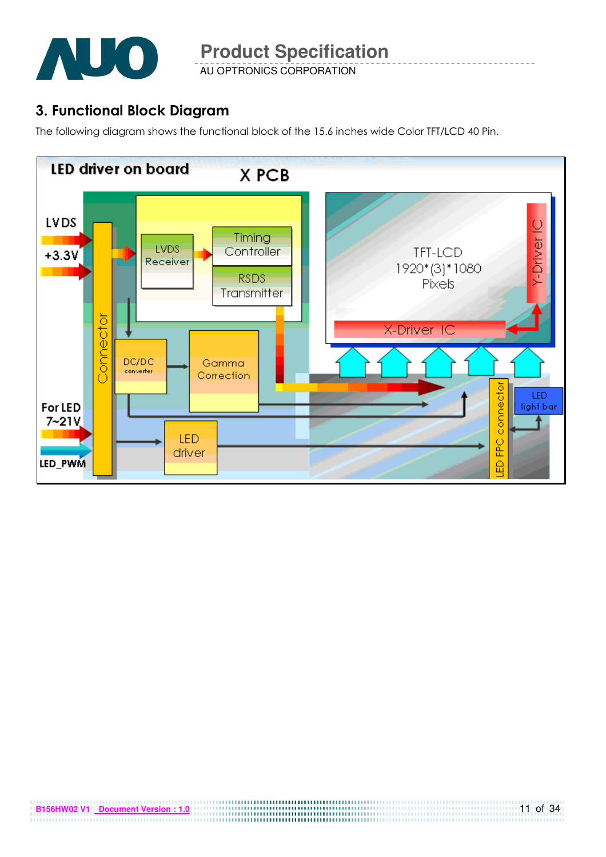

AU OPTRONICS CORPORATION

## 3. Functional Block Diagram

The following diagram shows the functional block of the 15.6 inches wide Color TFT/LCD 40 Pin.

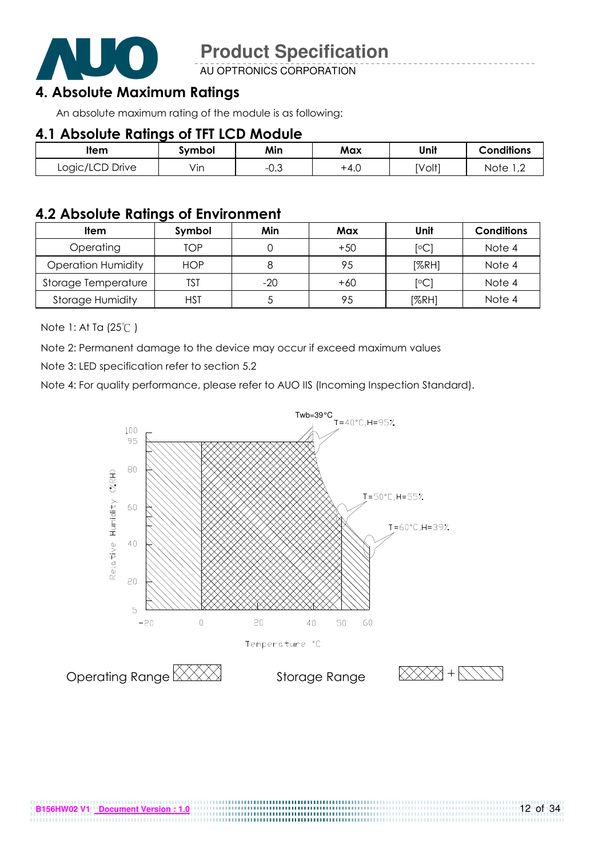

AU OPTRONICS CORPORATION

## 4. Absolute Maximum Ratings

An absolute maximum rating of the module is as following:

## 4.1 Absolute Ratings of TFT LCD Module

| ltem            | Svmbol | Min       | Max  | Unit   | <b>Conditions</b>      |
|-----------------|--------|-----------|------|--------|------------------------|
| Logic/LCD Drive | Vin    | ົ<br>−∪.∪ | +4.0 | [Volt] | Note<br>$\overline{ }$ |

## 4.2 Absolute Ratings of Environment

| <b>Item</b>               | Symbol     | Min   | Max   | Unit           | <b>Conditions</b> |
|---------------------------|------------|-------|-------|----------------|-------------------|
| Operating                 | TOP        |       | $+50$ | $\overline{C}$ | Note 4            |
| <b>Operation Humidity</b> | <b>HOP</b> |       | 95    | [%RH]          | Note 4            |
| Storage Temperature       | TST        | $-20$ | $+60$ | $\overline{C}$ | Note 4            |
| <b>Storage Humidity</b>   | HST        |       | 95    | [%RH]          | Note 4            |

Note 1: At Ta (25°C)

Note 2: Permanent damage to the device may occur if exceed maximum values

Note 3: LED specification refer to section 5.2

Note 4: For quality performance, please refer to AUO IIS (Incoming Inspection Standard).

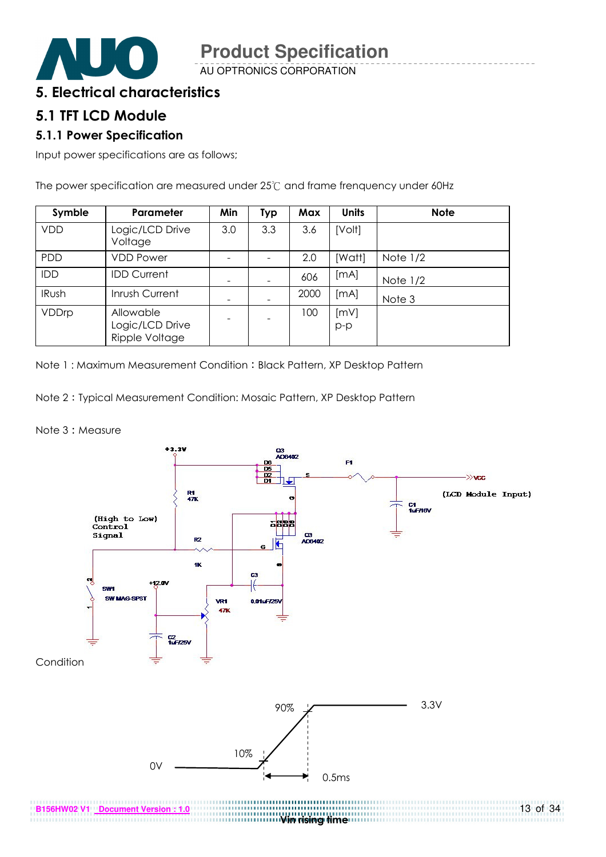

AU OPTRONICS CORPORATION

## 5. Electrical characteristics

### 5.1 TFT LCD Module

#### 5.1.1 Power Specification

Input power specifications are as follows;

The power specification are measured under 25°C and frame frenquency under 60Hz

| Symble       | Parameter                                      | Min | Typ | Max  | <b>Units</b>  | <b>Note</b> |
|--------------|------------------------------------------------|-----|-----|------|---------------|-------------|
| <b>VDD</b>   | Logic/LCD Drive<br>Voltage                     | 3.0 | 3.3 | 3.6  | [Volt]        |             |
| PDD          | <b>VDD Power</b>                               |     |     | 2.0  | [Watt]        | Note $1/2$  |
| <b>IDD</b>   | <b>IDD Current</b>                             |     |     | 606  | [mA]          | Note $1/2$  |
| <b>IRush</b> | Inrush Current                                 |     |     | 2000 | [MA]          | Note 3      |
| VDDrp        | Allowable<br>Logic/LCD Drive<br>Ripple Voltage |     |     | 100  | [mV]<br>$p-p$ |             |

Note 1: Maximum Measurement Condition: Black Pattern, XP Desktop Pattern

Note 2 Typical Measurement Condition: Mosaic Pattern, XP Desktop Pattern

Note 3: Measure

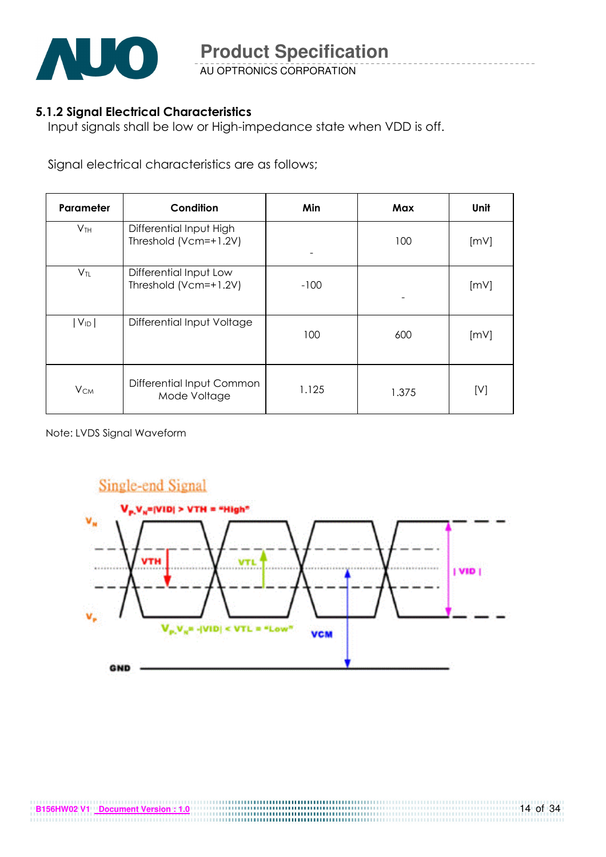

AU OPTRONICS CORPORATION

### 5.1.2 Signal Electrical Characteristics

Input signals shall be low or High-impedance state when VDD is off.

Signal electrical characteristics are as follows;

| Parameter              | Condition                                        | Min    | Max   | Unit |
|------------------------|--------------------------------------------------|--------|-------|------|
| V <sub>TH</sub>        | Differential Input High<br>Threshold (Vcm=+1.2V) |        | 100   | [mV] |
| $V_{TL}$               | Differential Input Low<br>Threshold (Vcm=+1.2V)  | $-100$ |       | [mV] |
| $ V_{ID} $             | Differential Input Voltage                       | 100    | 600   | [mV] |
| <b>V</b> <sub>CM</sub> | Differential Input Common<br>Mode Voltage        | 1.125  | 1.375 | [V]  |

Note: LVDS Signal Waveform

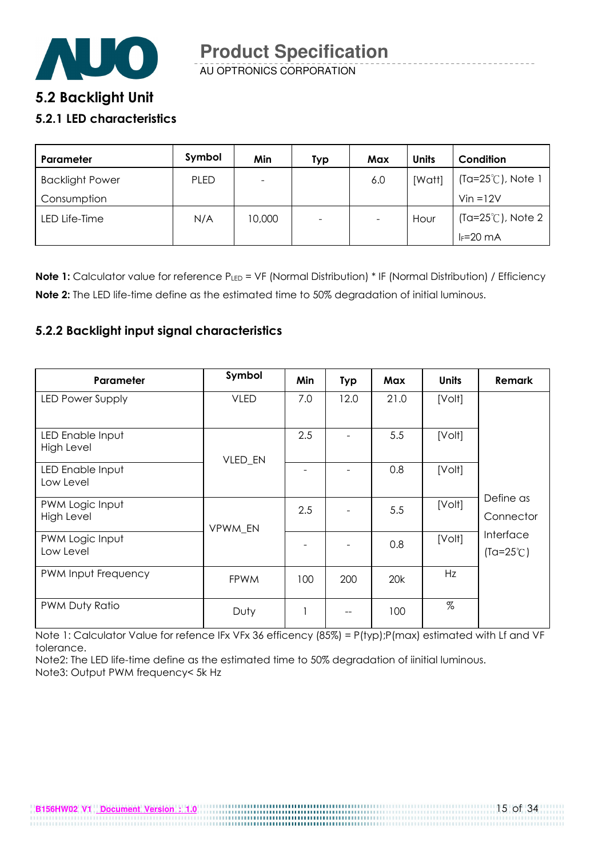

AU OPTRONICS CORPORATION

## 5.2 Backlight Unit

#### 5.2.1 LED characteristics

| Parameter              | Symbol      | Min    | Typ    | Max                      | <b>Units</b> | Condition                   |
|------------------------|-------------|--------|--------|--------------------------|--------------|-----------------------------|
| <b>Backlight Power</b> | <b>PLED</b> |        |        | 6.0                      | [Watt]       | (Ta=25℃), Note 1            |
| Consumption            |             |        |        |                          |              | $V$ in = $12V$              |
| LED Life-Time          | N/A         | 10,000 | $\sim$ | $\overline{\phantom{a}}$ | Hour         | $(Ta=25^{\circ}C)$ , Note 2 |
|                        |             |        |        |                          |              | $I_F = 20$ mA               |

Note 1: Calculator value for reference PLED = VF (Normal Distribution) \* IF (Normal Distribution) / Efficiency Note 2: The LED life-time define as the estimated time to 50% degradation of initial luminous.

#### 5.2.2 Backlight input signal characteristics

| Parameter                            | Symbol      | Min                      | <b>Typ</b> | Max  | <b>Units</b> | <b>Remark</b>                   |
|--------------------------------------|-------------|--------------------------|------------|------|--------------|---------------------------------|
| LED Power Supply                     | <b>VLED</b> | 7.0                      | 12.0       | 21.0 | [Volt]       |                                 |
| LED Enable Input<br>High Level       | VLED_EN     | 2.5                      |            | 5.5  | [Volt]       |                                 |
| LED Enable Input<br>Low Level        |             |                          |            | 0.8  | [Volt]       |                                 |
| PWM Logic Input<br><b>High Level</b> | VPWM EN     | 2.5                      |            | 5.5  | [Volt]       | Define as<br>Connector          |
| PWM Logic Input<br>Low Level         |             |                          |            | 0.8  | [Volt]       | Interface<br>$(Ta=25^{\circ}C)$ |
| PWM Input Frequency                  | <b>FPWM</b> | 100                      | 200        | 20k  | Hz           |                                 |
| PWM Duty Ratio                       | Duty        | $\overline{\phantom{a}}$ |            | 100  | $\%$         |                                 |

Note 1: Calculator Value for refence IFx VFx 36 efficency (85%) = P(typ);P(max) estimated with Lf and VF tolerance.

Note2: The LED life-time define as the estimated time to 50% degradation of iinitial luminous. Note3: Output PWM frequency< 5k Hz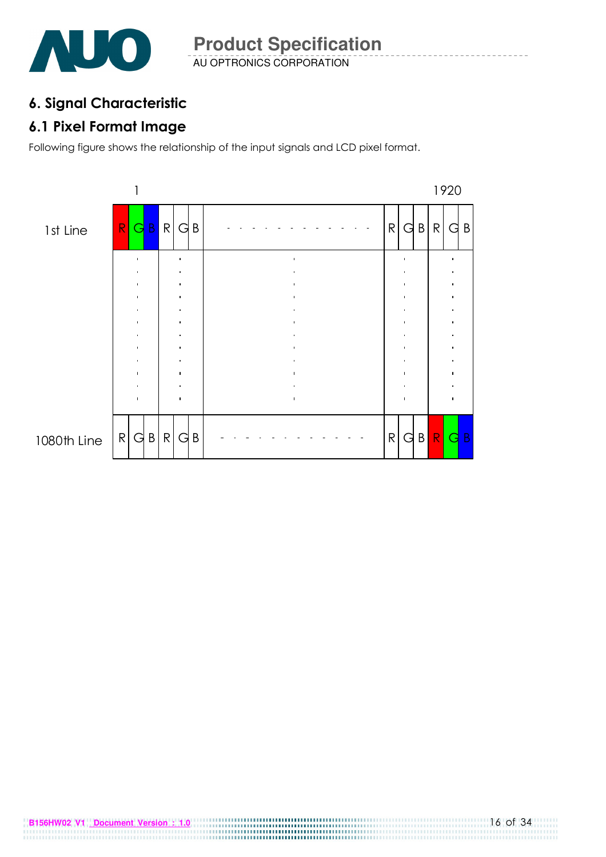

## 6. Signal Characteristic

## 6.1 Pixel Format Image

Following figure shows the relationship of the input signals and LCD pixel format.

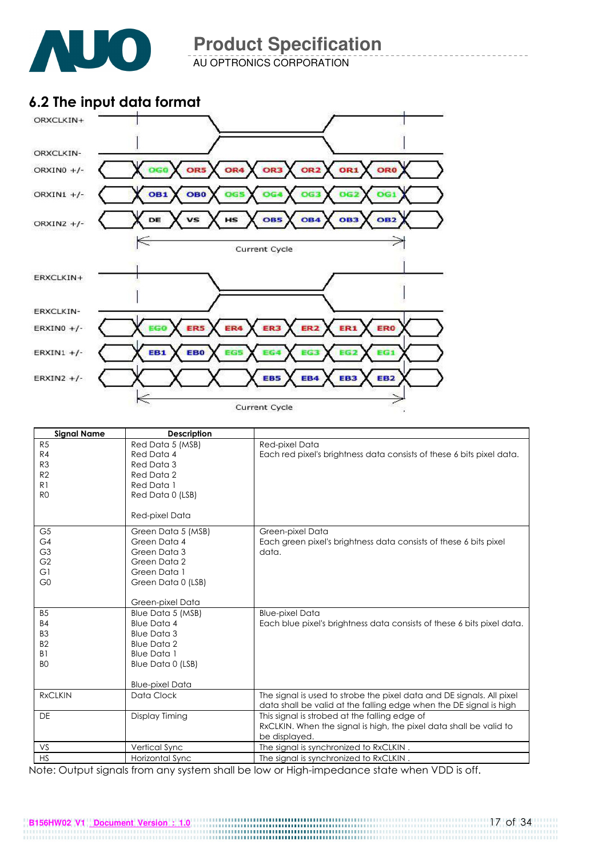

AU OPTRONICS CORPORATION

## 6.2 The input data format



| <b>Signal Name</b> | <b>Description</b>     |                                                                        |
|--------------------|------------------------|------------------------------------------------------------------------|
| R5                 | Red Data 5 (MSB)       | Red-pixel Data                                                         |
| R4                 | Red Data 4             | Each red pixel's brightness data consists of these 6 bits pixel data.  |
| R <sub>3</sub>     | Red Data 3             |                                                                        |
| R2                 | Red Data 2             |                                                                        |
| R1                 | Red Data 1             |                                                                        |
| R <sub>0</sub>     | Red Data 0 (LSB)       |                                                                        |
|                    |                        |                                                                        |
|                    | Red-pixel Data         |                                                                        |
| G <sub>5</sub>     | Green Data 5 (MSB)     | Green-pixel Data                                                       |
| G4                 | Green Data 4           | Each green pixel's brightness data consists of these 6 bits pixel      |
| G <sub>3</sub>     | Green Data 3           | data.                                                                  |
| G <sub>2</sub>     | Green Data 2           |                                                                        |
| G1                 | Green Data 1           |                                                                        |
| G <sub>0</sub>     | Green Data 0 (LSB)     |                                                                        |
|                    |                        |                                                                        |
|                    | Green-pixel Data       |                                                                        |
| <b>B5</b>          | Blue Data 5 (MSB)      | <b>Blue-pixel Data</b>                                                 |
| <b>B4</b>          | <b>Blue Data 4</b>     | Each blue pixel's brightness data consists of these 6 bits pixel data. |
| B <sub>3</sub>     | <b>Blue Data 3</b>     |                                                                        |
| <b>B2</b>          | <b>Blue Data 2</b>     |                                                                        |
| B <sub>1</sub>     | <b>Blue Data 1</b>     |                                                                        |
| B <sub>O</sub>     | Blue Data 0 (LSB)      |                                                                        |
|                    |                        |                                                                        |
|                    | <b>Blue-pixel Data</b> |                                                                        |
| <b>RxCLKIN</b>     | Data Clock             | The signal is used to strobe the pixel data and DE signals. All pixel  |
|                    |                        | data shall be valid at the falling edge when the DE signal is high     |
| <b>DE</b>          | Display Timing         | This signal is strobed at the falling edge of                          |
|                    |                        | RxCLKIN. When the signal is high, the pixel data shall be valid to     |
|                    |                        | be displayed.                                                          |
| VS                 | Vertical Sync          | The signal is synchronized to RxCLKIN.                                 |
| <b>HS</b>          | Horizontal Sync        | The signal is synchronized to RxCLKIN.                                 |

Note: Output signals from any system shall be low or High-impedance state when VDD is off.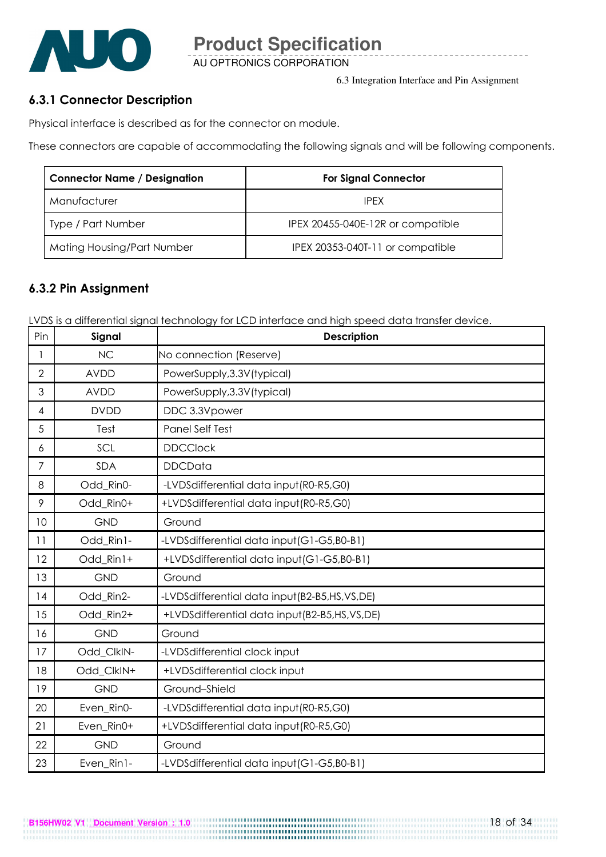

AU OPTRONICS CORPORATION

6.3 Integration Interface and Pin Assignment

#### 6.3.1 Connector Description

Physical interface is described as for the connector on module.

These connectors are capable of accommodating the following signals and will be following components.

| <b>Connector Name / Designation</b> | <b>For Signal Connector</b>       |
|-------------------------------------|-----------------------------------|
| Manufacturer                        | <b>IPFX</b>                       |
| Type / Part Number                  | IPEX 20455-040E-12R or compatible |
| Mating Housing/Part Number          | IPEX 20353-040T-11 or compatible  |

### 6.3.2 Pin Assignment

LVDS is a differential signal technology for LCD interface and high speed data transfer device.

| Pin            | Signal      | <b>Description</b>                           |
|----------------|-------------|----------------------------------------------|
| 1              | <b>NC</b>   | No connection (Reserve)                      |
| $\overline{2}$ | <b>AVDD</b> | PowerSupply, 3.3V (typical)                  |
| 3              | <b>AVDD</b> | PowerSupply, 3.3V (typical)                  |
| 4              | <b>DVDD</b> | DDC 3.3Vpower                                |
| 5              | Test        | Panel Self Test                              |
| 6              | SCL         | <b>DDCClock</b>                              |
| 7              | <b>SDA</b>  | <b>DDCData</b>                               |
| 8              | Odd_Rin0-   | -LVDSdifferential data input (R0-R5,G0)      |
| 9              | Odd Rin0+   | +LVDSdifferential data input(R0-R5,G0)       |
| 10             | <b>GND</b>  | Ground                                       |
| 11             | Odd_Rin1-   | -LVDSdifferential data input (G1-G5,B0-B1)   |
| 12             | Odd Rin1+   | +LVDSdifferential data input(G1-G5,B0-B1)    |
| 13             | <b>GND</b>  | Ground                                       |
| 14             | Odd_Rin2-   | -LVDSdifferential data input(B2-B5,HS,VS,DE) |
| 15             | Odd Rin2+   | +LVDSdifferential data input(B2-B5,HS,VS,DE) |
| 16             | <b>GND</b>  | Ground                                       |
| 17             | Odd_ClkIN-  | -LVDSdifferential clock input                |
| 18             | Odd_ClkIN+  | +LVDSdifferential clock input                |
| 19             | <b>GND</b>  | Ground-Shield                                |
| 20             | Even_Rin0-  | -LVDSdifferential data input (R0-R5,G0)      |
| 21             | Even Rin0+  | +LVDSdifferential data input(R0-R5,G0)       |
| 22             | <b>GND</b>  | Ground                                       |
| 23             | Even_Rin1-  | -LVDSdifferential data input (G1-G5,B0-B1)   |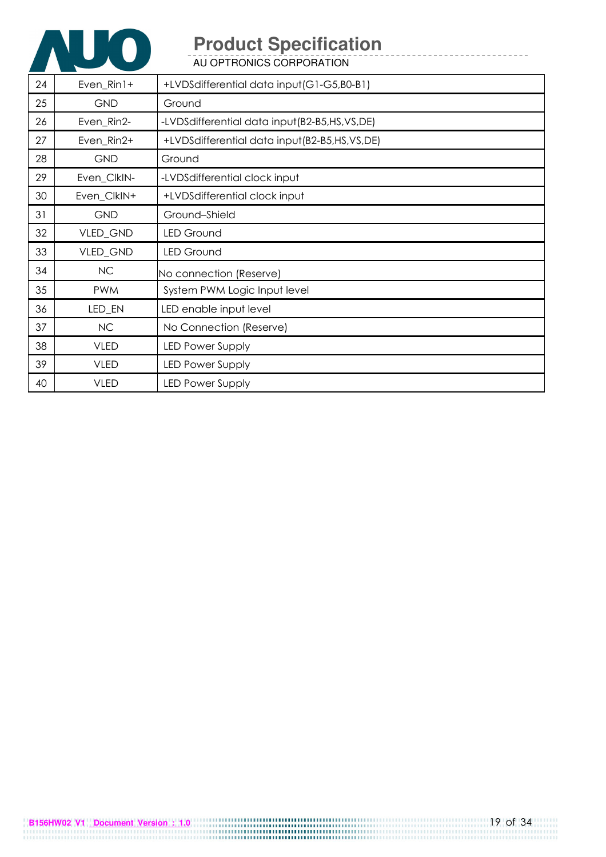

AU OPTRONICS CORPORATION

| 24 | $Even_Rin1+$ | +LVDSdifferential data input (G1-G5,B0-B1)   |
|----|--------------|----------------------------------------------|
| 25 | <b>GND</b>   | Ground                                       |
| 26 | Even_Rin2-   | -LVDSdifferential data input(B2-B5,HS,VS,DE) |
| 27 | Even_Rin2+   | +LVDSdifferential data input(B2-B5,HS,VS,DE) |
| 28 | <b>GND</b>   | Ground                                       |
| 29 | Even_ClkIN-  | -LVDSdifferential clock input                |
| 30 | Even_ClkIN+  | +LVDSdifferential clock input                |
| 31 | <b>GND</b>   | Ground-Shield                                |
| 32 | VLED_GND     | <b>LED Ground</b>                            |
| 33 | VLED_GND     | <b>LED Ground</b>                            |
| 34 | <b>NC</b>    | No connection (Reserve)                      |
| 35 | <b>PWM</b>   | System PWM Logic Input level                 |
| 36 | LED_EN       | LED enable input level                       |
| 37 | <b>NC</b>    | No Connection (Reserve)                      |
| 38 | <b>VLED</b>  | <b>LED Power Supply</b>                      |
| 39 | <b>VLED</b>  | <b>LED Power Supply</b>                      |
| 40 | <b>VLED</b>  | <b>LED Power Supply</b>                      |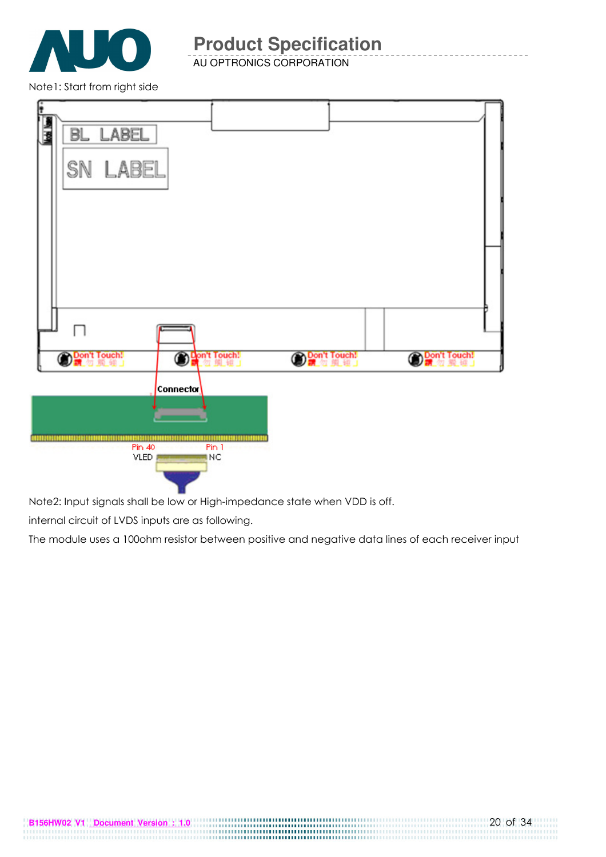

AU OPTRONICS CORPORATION

Note1: Start from right side



Note2: Input signals shall be low or High-impedance state when VDD is off.

internal circuit of LVDS inputs are as following.

The module uses a 100ohm resistor between positive and negative data lines of each receiver input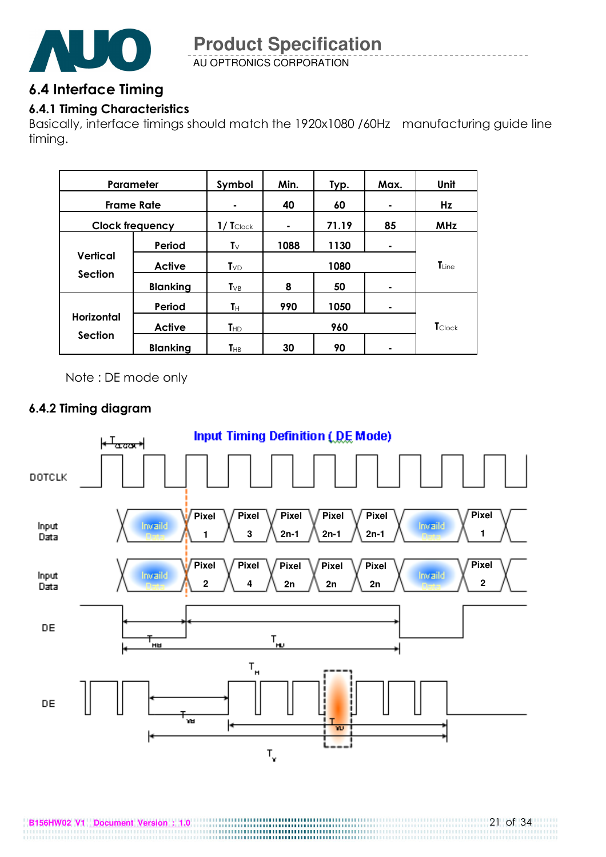

AU OPTRONICS CORPORATION

## 6.4 Interface Timing

## 6.4.1 Timing Characteristics

Basically, interface timings should match the 1920x1080 /60Hz manufacturing guide line timing.

| Parameter                    |                        | Symbol                                            | Min. | Typ.       | Max.       | Unit           |
|------------------------------|------------------------|---------------------------------------------------|------|------------|------------|----------------|
| <b>Frame Rate</b>            |                        |                                                   | 40   | 60         | ۰          | Hz             |
|                              | <b>Clock frequency</b> | 71.19<br>85<br>$1/\mathbf{T}_{\text{Clock}}$<br>٠ |      | <b>MHz</b> |            |                |
|                              | Period                 | $\mathbf{T} \vee$                                 | 1088 | 1130       | ۰          |                |
| <b>Vertical</b>              | <b>Active</b>          | $T_{VD}$                                          | 1080 |            | $T_{Line}$ |                |
| <b>Section</b>               | <b>Blanking</b>        | $T_{VB}$                                          | 8    | 50         | ۰          |                |
|                              | Period                 | Tн                                                | 990  | 1050       | ۰          |                |
| Horizontal<br><b>Section</b> | <b>Active</b>          | $T_{HD}$                                          |      | 960        |            | <b>T</b> Clock |
|                              | <b>Blanking</b>        | $T_{HB}$                                          | 30   | 90         |            |                |

Note : DE mode only

### 6.4.2 Timing diagram

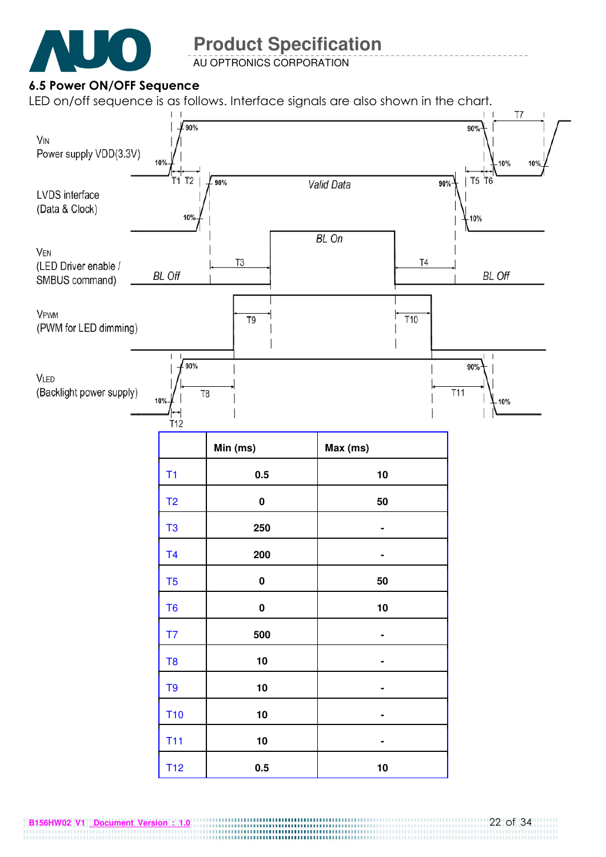

AU OPTRONICS CORPORATION

### 6.5 Power ON/OFF Sequence

LED on/off sequence is as follows. Interface signals are also shown in the chart.

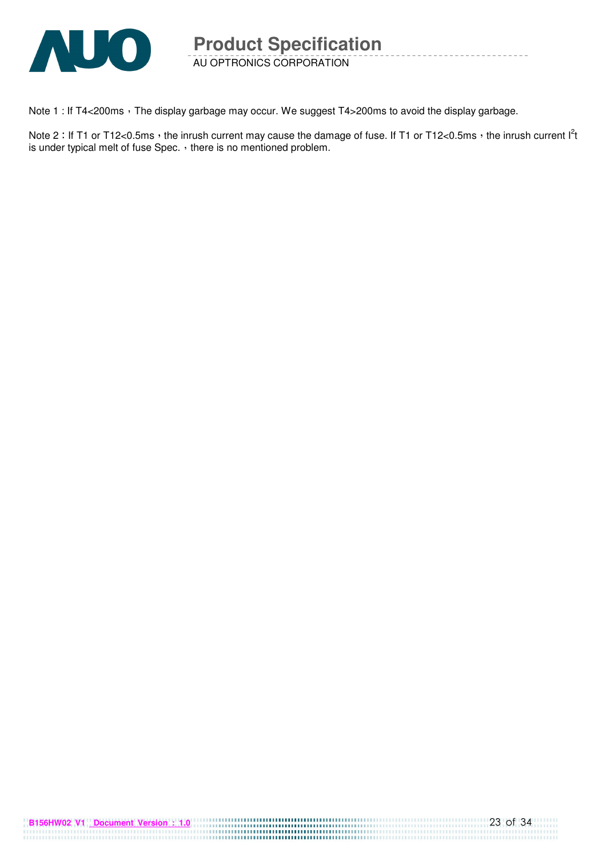

AU OPTRONICS CORPORATION **Product Specification** 

Note 1 : If T4<200ms, The display garbage may occur. We suggest T4>200ms to avoid the display garbage.

Note 2: If T1 or T12<0.5ms, the inrush current may cause the damage of fuse. If T1 or T12<0.5ms, the inrush current  $I^2t$ is under typical melt of fuse Spec.  $\cdot$  there is no mentioned problem.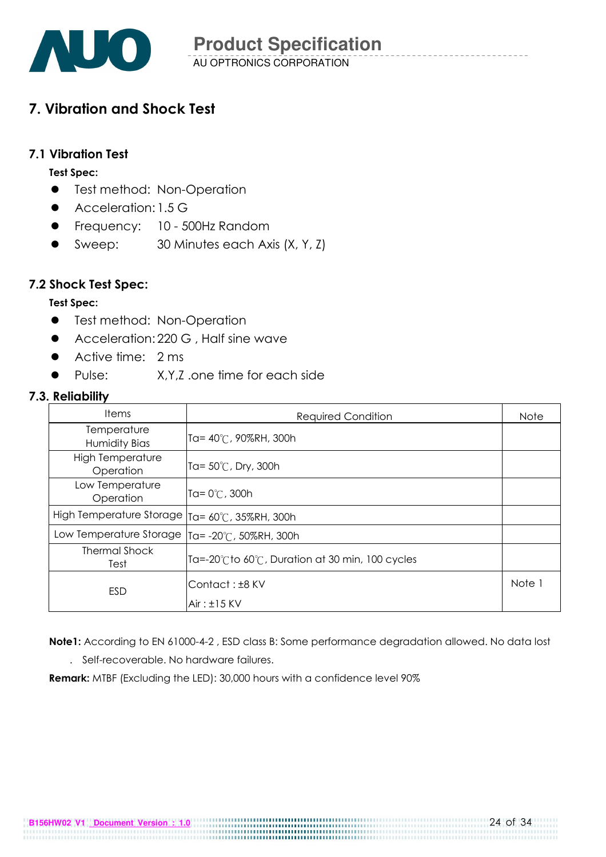

## 7. Vibration and Shock Test

#### 7.1 Vibration Test

#### Test Spec:

- **•** Test method: Non-Operation
- Acceleration: 1.5 G
- **•** Frequency: 10 500Hz Random
- Sweep: 30 Minutes each Axis (X, Y, Z)

### 7.2 Shock Test Spec:

#### Test Spec:

- **•** Test method: Non-Operation
- Acceleration: 220 G, Half sine wave
- Active time: 2 ms
- Pulse: X, Y, Z, one time for each side

#### 7.3. Reliability

| <b>Items</b>                         | <b>Required Condition</b>                                         | <b>Note</b> |
|--------------------------------------|-------------------------------------------------------------------|-------------|
| Temperature<br>Humidity Bias         | Ta= 40℃, 90%RH, 300h                                              |             |
| <b>High Temperature</b><br>Operation | Ta= $50^{\circ}$ C, Dry, 300h                                     |             |
| Low Temperature<br>Operation         | Ta= $0^{\circ}$ C, 300h                                           |             |
| High Temperature Storage             | Ta= 60°C, 35%RH, 300h                                             |             |
| Low Temperature Storage              | Ta= $-20^{\circ}$ C, 50%RH, 300h                                  |             |
| <b>Thermal Shock</b><br>Test         | Ta=-20 $^\circ$ Cto 60 $^\circ$ C, Duration at 30 min, 100 cycles |             |
| ESD                                  | Contact: ±8 KV<br>$Air: \pm 15$ KV                                | Note 1      |

Note1: According to EN 61000-4-2 , ESD class B: Some performance degradation allowed. No data lost

. Self-recoverable. No hardware failures.

Remark: MTBF (Excluding the LED): 30,000 hours with a confidence level 90%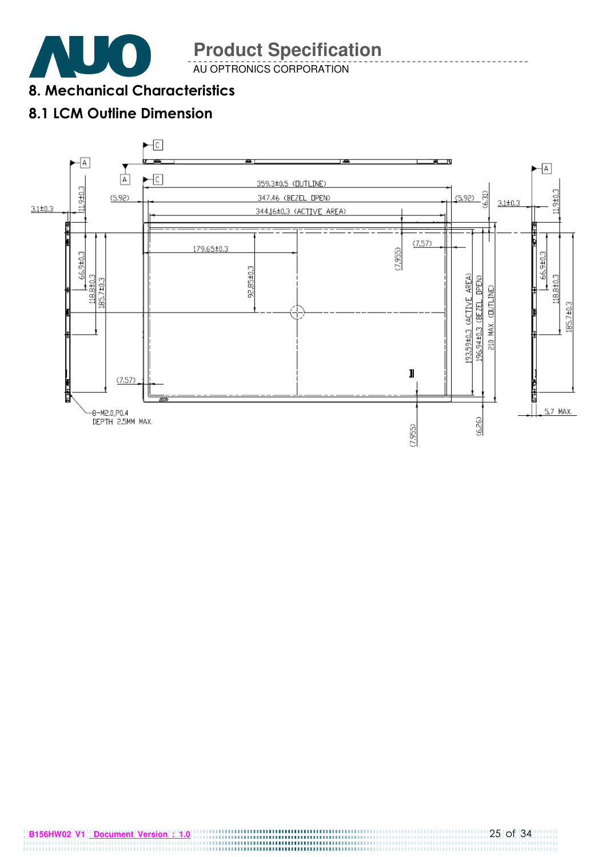

AU OPTRONICS CORPORATION

8. Mechanical Characteristics

## 8.1 LCM Outline Dimension

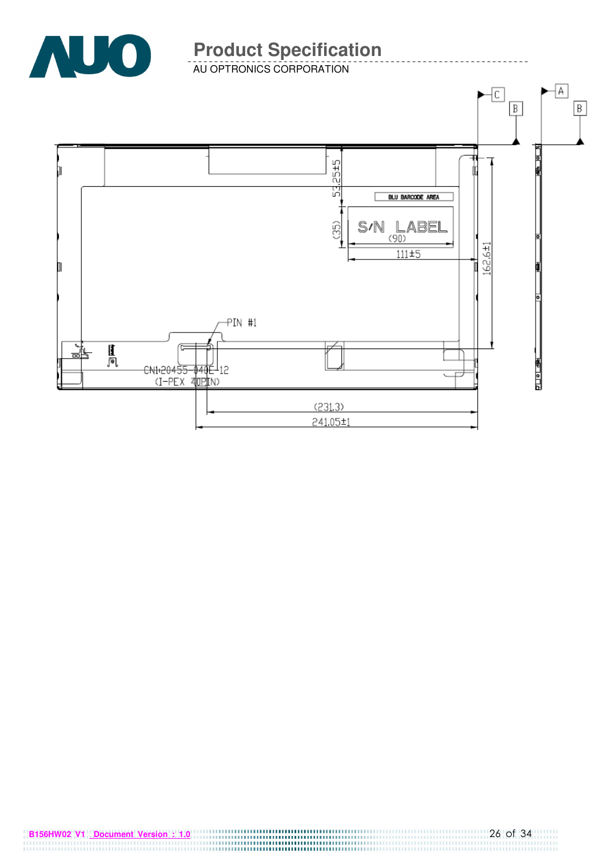

-----------

AU OPTRONICS CORPORATION

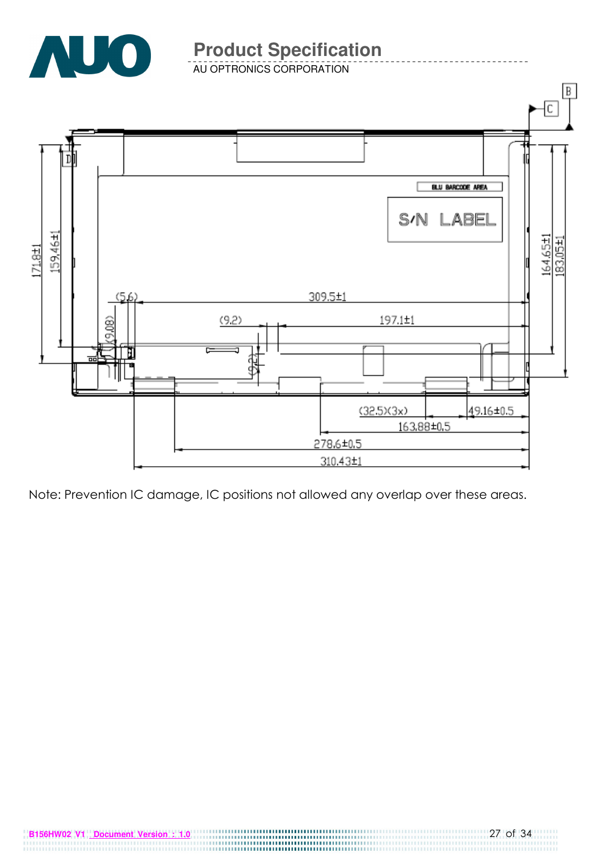

AU OPTRONICS CORPORATION



Note: Prevention IC damage, IC positions not allowed any overlap over these areas.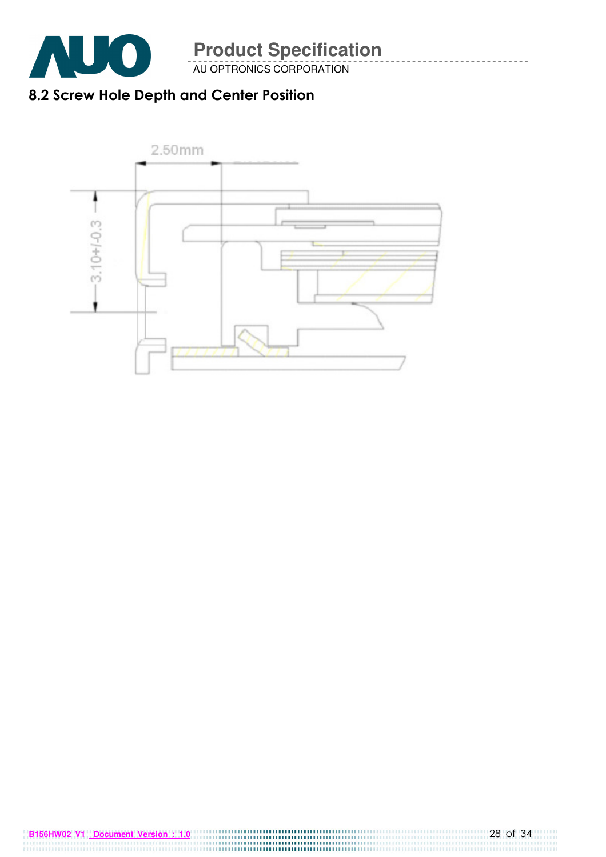

AU OPTRONICS CORPORATION

## 8.2 Screw Hole Depth and Center Position

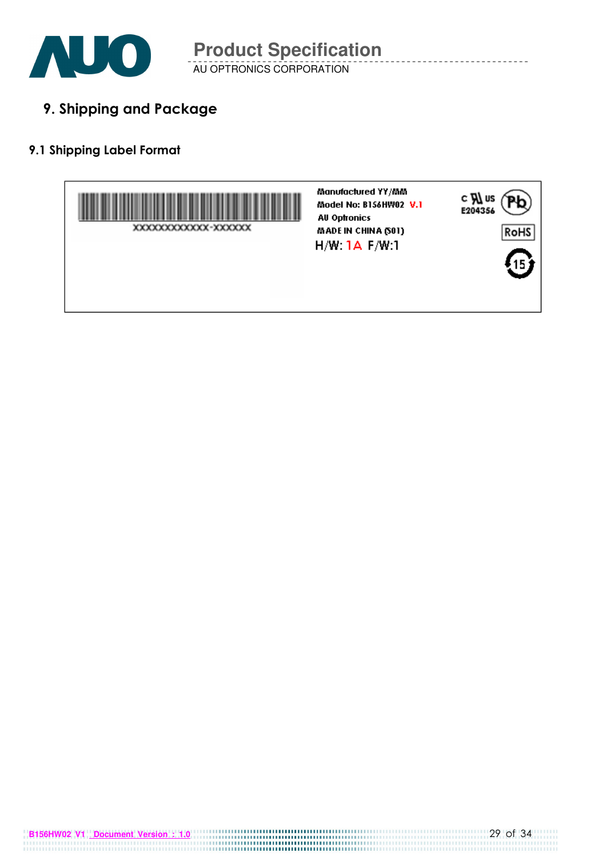

AU OPTRONICS CORPORATION **Product Specification** 

9. Shipping and Package

### 9.1 Shipping Label Format



**B156HW02 V1 Document Version : 1.0** 29 of 34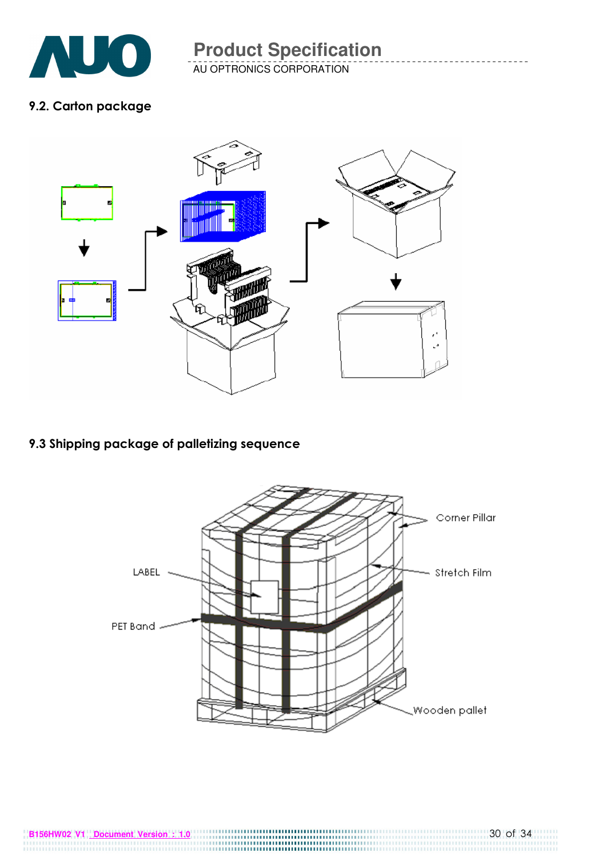![](_page_29_Picture_0.jpeg)

AU OPTRONICS CORPORATION

### 9.2. Carton package

![](_page_29_Figure_4.jpeg)

## 9.3 Shipping package of palletizing sequence

![](_page_29_Picture_6.jpeg)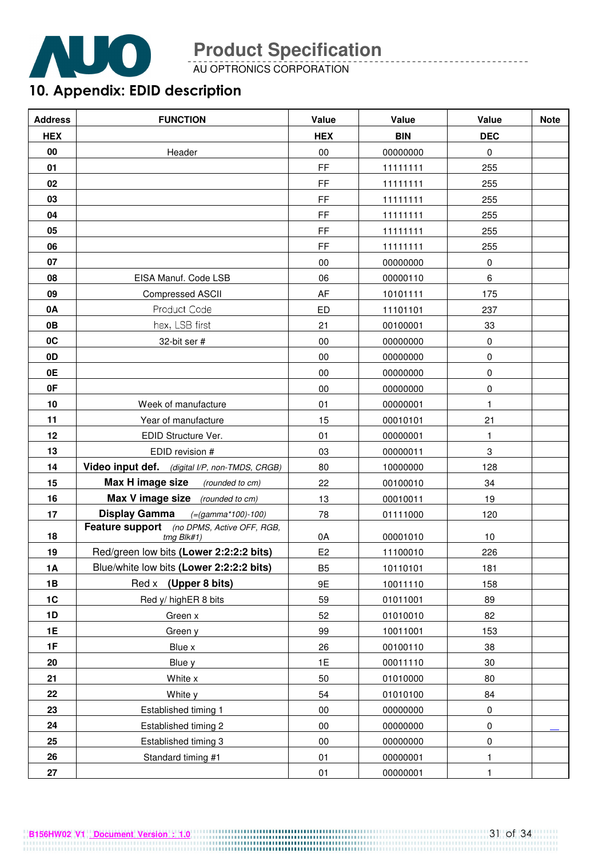![](_page_30_Picture_0.jpeg)

AU OPTRONICS CORPORATION

## 10. Appendix: EDID description

| <b>Address</b> | <b>FUNCTION</b>                                          | Value               | Value      | Value        | <b>Note</b> |
|----------------|----------------------------------------------------------|---------------------|------------|--------------|-------------|
| <b>HEX</b>     |                                                          | <b>HEX</b>          | <b>BIN</b> | <b>DEC</b>   |             |
| 00             | Header                                                   | $00\,$              | 00000000   | $\mathbf 0$  |             |
| 01             |                                                          | $\mathsf{FF}% _{0}$ | 11111111   | 255          |             |
| 02             |                                                          | <b>FF</b>           | 11111111   | 255          |             |
| 03             |                                                          | <b>FF</b>           | 11111111   | 255          |             |
| 04             |                                                          | FF                  | 11111111   | 255          |             |
| 05             |                                                          | FF                  | 11111111   | 255          |             |
| 06             |                                                          | <b>FF</b>           | 11111111   | 255          |             |
| 07             |                                                          | $00\,$              | 00000000   | $\pmb{0}$    |             |
| 08             | EISA Manuf. Code LSB                                     | 06                  | 00000110   | 6            |             |
| 09             | <b>Compressed ASCII</b>                                  | AF                  | 10101111   | 175          |             |
| 0A             | Product Code                                             | ED                  | 11101101   | 237          |             |
| 0B             | hex, LSB first                                           | 21                  | 00100001   | 33           |             |
| 0 <sup>C</sup> | 32-bit ser #                                             | $00\,$              | 00000000   | 0            |             |
| 0 <sub>D</sub> |                                                          | $00\,$              | 00000000   | 0            |             |
| 0E             |                                                          | $00\,$              | 00000000   | $\pmb{0}$    |             |
| 0F             |                                                          | $00\,$              | 00000000   | $\pmb{0}$    |             |
| 10             | Week of manufacture                                      | 01                  | 00000001   | $\mathbf{1}$ |             |
| 11             | Year of manufacture                                      | 15                  | 00010101   | 21           |             |
| 12             | EDID Structure Ver.                                      | 01                  | 00000001   | $\mathbf{1}$ |             |
| 13             | EDID revision #                                          | 03                  | 00000011   | 3            |             |
| 14             | Video input def. (digital I/P, non-TMDS, CRGB)           | 80                  | 10000000   | 128          |             |
| 15             | Max H image size<br>(rounded to cm)                      | 22                  | 00100010   | 34           |             |
| 16             | Max V image size (rounded to cm)                         | 13                  | 00010011   | 19           |             |
| 17             | <b>Display Gamma</b><br>(=(gamma*100)-100)               | 78                  | 01111000   | 120          |             |
| 18             | Feature support (no DPMS, Active OFF, RGB,<br>tmg Blk#1) | 0A                  | 00001010   | 10           |             |
| 19             | Red/green low bits (Lower 2:2:2:2 bits)                  | E <sub>2</sub>      | 11100010   | 226          |             |
| 1A             | Blue/white low bits (Lower 2:2:2:2 bits)                 | B <sub>5</sub>      | 10110101   | 181          |             |
| 1B             | Red x (Upper 8 bits)                                     | 9E                  | 10011110   | 158          |             |
| 1C             | Red y/ highER 8 bits                                     | 59                  | 01011001   | 89           |             |
| 1D             | Green x                                                  | 52                  | 01010010   | 82           |             |
| 1E             | Green y                                                  | 99                  | 10011001   | 153          |             |
| 1F             | Blue x                                                   | 26                  | 00100110   | 38           |             |
| 20             | Blue y                                                   | 1E                  | 00011110   | $30\,$       |             |
| 21             | White x                                                  | 50                  | 01010000   | 80           |             |
| 22             | White y                                                  | 54                  | 01010100   | 84           |             |
| 23             | Established timing 1                                     | $00\,$              | 00000000   | 0            |             |
| 24             | Established timing 2                                     | $00\,$              | 00000000   | $\pmb{0}$    |             |
| 25             | Established timing 3                                     | $00\,$              | 00000000   | $\pmb{0}$    |             |
| 26             | Standard timing #1                                       | 01                  | 00000001   | $\mathbf{1}$ |             |
| 27             |                                                          | 01                  | 00000001   | 1            |             |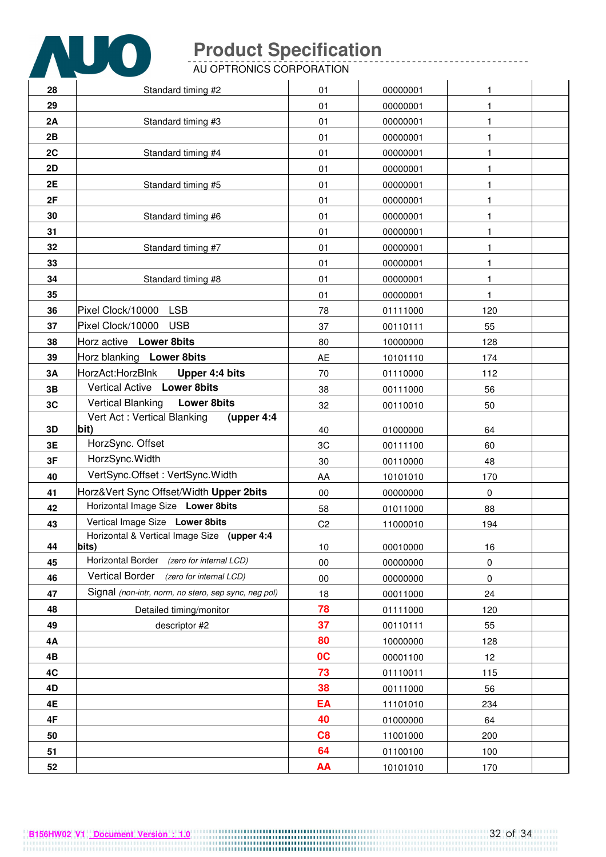![](_page_31_Picture_0.jpeg)

AU OPTRONICS CORPORATION

| 28        | Standard timing #2                                                       | 01             | 00000001 | 1           |  |
|-----------|--------------------------------------------------------------------------|----------------|----------|-------------|--|
| 29        |                                                                          | 01             | 00000001 |             |  |
| 2A        | Standard timing #3                                                       | 01             | 00000001 | 1           |  |
| 2B        |                                                                          | 01             | 00000001 | 1           |  |
| 2C        | Standard timing #4                                                       | 01             | 00000001 | 1           |  |
| 2D        |                                                                          | 01             | 00000001 | 1           |  |
| 2E        | Standard timing #5                                                       | 01             | 00000001 | 1           |  |
| 2F        |                                                                          | 01             | 00000001 | 1           |  |
| 30        | Standard timing #6                                                       | 01             | 00000001 | 1           |  |
| 31        |                                                                          | 01             | 00000001 | 1           |  |
| 32        | Standard timing #7                                                       | 01             | 00000001 | 1           |  |
| 33        |                                                                          | 01             | 00000001 | 1           |  |
| 34        | Standard timing #8                                                       | 01             | 00000001 | 1           |  |
| 35        |                                                                          | 01             | 00000001 | 1           |  |
| 36        | Pixel Clock/10000 LSB                                                    | 78             | 01111000 | 120         |  |
| 37        | Pixel Clock/10000 USB                                                    | 37             | 00110111 | 55          |  |
| 38        | Horz active Lower 8bits                                                  | 80             | 10000000 | 128         |  |
| 39        | Horz blanking Lower 8bits                                                | AE             | 10101110 | 174         |  |
| 3A        | HorzAct:HorzBlnk<br>Upper 4:4 bits                                       | 70             | 01110000 | 112         |  |
| 3B        | Vertical Active Lower 8bits                                              | 38             | 00111000 | 56          |  |
| 3C        | <b>Vertical Blanking</b><br><b>Lower 8bits</b>                           | 32             | 00110010 | 50          |  |
|           | Vert Act: Vertical Blanking<br>(upper 4:4                                |                |          |             |  |
| 3D        | bit)<br>HorzSync. Offset                                                 | 40             | 01000000 | 64          |  |
| 3E        | HorzSync. Width                                                          | 3C             | 00111100 | 60          |  |
| 3F        | VertSync.Offset: VertSync.Width                                          | 30             | 00110000 | 48          |  |
| 40        |                                                                          | AA             | 10101010 | 170         |  |
| 41        | Horz‖ Sync Offset/Width Upper 2bits<br>Horizontal Image Size Lower 8bits | 00             | 00000000 | $\mathbf 0$ |  |
| 42<br>43  | Vertical Image Size Lower 8bits                                          | 58             | 01011000 | 88          |  |
|           | Horizontal & Vertical Image Size (upper 4:4                              | C <sub>2</sub> | 11000010 | 194         |  |
| 44        | bits)                                                                    | 10             | 00010000 | 16          |  |
| 45        | Horizontal Border (zero for internal LCD)                                | $00\,$         | 00000000 | $\pmb{0}$   |  |
| 46        | <b>Vertical Border</b><br>(zero for internal LCD)                        | $00\,$         | 00000000 | 0           |  |
| 47        | Signal (non-intr, norm, no stero, sep sync, neg pol)                     | 18             | 00011000 | 24          |  |
| 48        | Detailed timing/monitor                                                  | 78             | 01111000 | 120         |  |
| 49        | descriptor #2                                                            | 37             | 00110111 | 55          |  |
| <b>4A</b> |                                                                          | 80             | 10000000 | 128         |  |
| 4B        |                                                                          | 0 <sup>C</sup> | 00001100 | 12          |  |
| 4C        |                                                                          | 73             | 01110011 | 115         |  |
| 4D        |                                                                          | 38             | 00111000 | 56          |  |
| 4E        |                                                                          | EA             | 11101010 | 234         |  |
| 4F        |                                                                          | 40             | 01000000 | 64          |  |
| 50        |                                                                          | C8             | 11001000 | 200         |  |
| 51        |                                                                          | 64             | 01100100 | 100         |  |
| 52        |                                                                          | AA             | 10101010 | 170         |  |

<u>\_\_\_\_\_\_\_\_\_\_\_\_\_\_\_\_</u>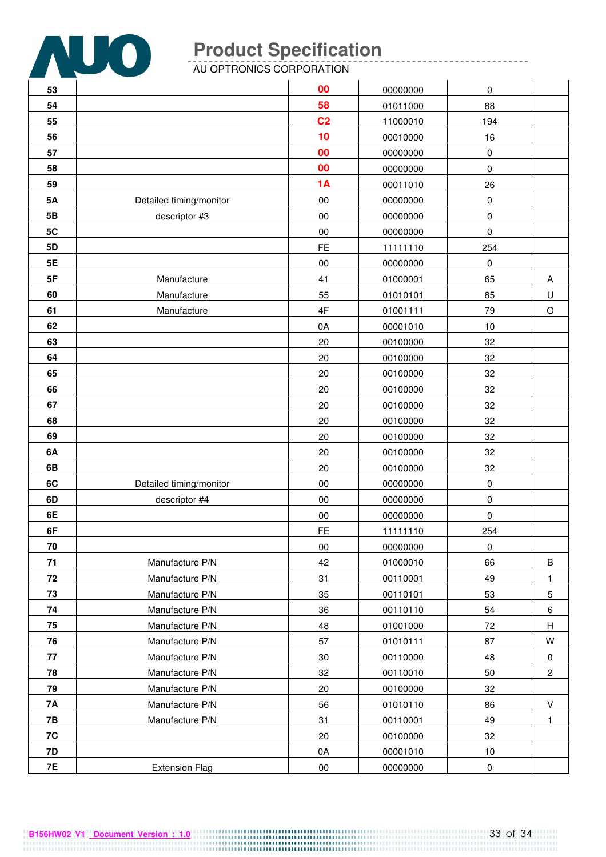![](_page_32_Picture_0.jpeg)

AU OPTRONICS CORPORATION

| 53         |                         | 00             | 00000000 | 0         |                |
|------------|-------------------------|----------------|----------|-----------|----------------|
| 54         |                         | 58             | 01011000 | 88        |                |
| 55         |                         | C <sub>2</sub> | 11000010 | 194       |                |
| 56         |                         | 10             | 00010000 | 16        |                |
| 57         |                         | 00             | 00000000 | 0         |                |
| 58         |                         | 00             | 00000000 | 0         |                |
| 59         |                         | <b>1A</b>      | 00011010 | 26        |                |
| <b>5A</b>  | Detailed timing/monitor | $00\,$         | 00000000 | 0         |                |
| 5B         | descriptor #3           | $00\,$         | 00000000 | 0         |                |
| 5C         |                         | $00\,$         | 00000000 | 0         |                |
| 5D         |                         | <b>FE</b>      | 11111110 | 254       |                |
| 5E         |                         | 00             | 00000000 | $\pmb{0}$ |                |
| 5F         | Manufacture             | 41             | 01000001 | 65        | A              |
| 60         | Manufacture             | 55             | 01010101 | 85        | U              |
| 61         | Manufacture             | 4F             | 01001111 | 79        | $\circ$        |
| 62         |                         | 0A             | 00001010 | 10        |                |
| 63         |                         | 20             | 00100000 | 32        |                |
| 64         |                         | 20             | 00100000 | 32        |                |
| 65         |                         | 20             | 00100000 | 32        |                |
| 66         |                         | 20             | 00100000 | 32        |                |
| 67         |                         | 20             | 00100000 | 32        |                |
| 68         |                         | 20             | 00100000 | 32        |                |
| 69         |                         | 20             | 00100000 | 32        |                |
| 6A         |                         | 20             | 00100000 | 32        |                |
| 6B         |                         | 20             | 00100000 | 32        |                |
| 6C         | Detailed timing/monitor | $00\,$         | 00000000 | $\pmb{0}$ |                |
| 6D         | descriptor #4           | 00             | 00000000 | 0         |                |
| 6E         |                         | 00             | 00000000 | 0         |                |
| 6F         |                         | <b>FE</b>      | 11111110 | 254       |                |
| 70         |                         | $00\,$         | 00000000 | $\pmb{0}$ |                |
| 71         | Manufacture P/N         | 42             | 01000010 | 66        | $\sf B$        |
| ${\bf 72}$ | Manufacture P/N         | 31             | 00110001 | 49        | 1              |
| 73         | Manufacture P/N         | 35             | 00110101 | 53        | $\mathbf 5$    |
| 74         | Manufacture P/N         | 36             | 00110110 | 54        | 6              |
| 75         | Manufacture P/N         | 48             | 01001000 | 72        | Н              |
| 76         | Manufacture P/N         | 57             | 01010111 | 87        | W              |
| 77         | Manufacture P/N         | 30             | 00110000 | 48        | $\pmb{0}$      |
| 78         | Manufacture P/N         | 32             | 00110010 | 50        | $\overline{c}$ |
| 79         | Manufacture P/N         | 20             | 00100000 | 32        |                |
| 7A         | Manufacture P/N         | 56             | 01010110 | 86        | V              |
| <b>7B</b>  | Manufacture P/N         | 31             | 00110001 | 49        | 1              |
| 7C         |                         | 20             | 00100000 | 32        |                |
| 7D         |                         | 0A             | 00001010 | $10$      |                |
| 7E         | <b>Extension Flag</b>   | $00\,$         | 00000000 | $\pmb{0}$ |                |

-----------------